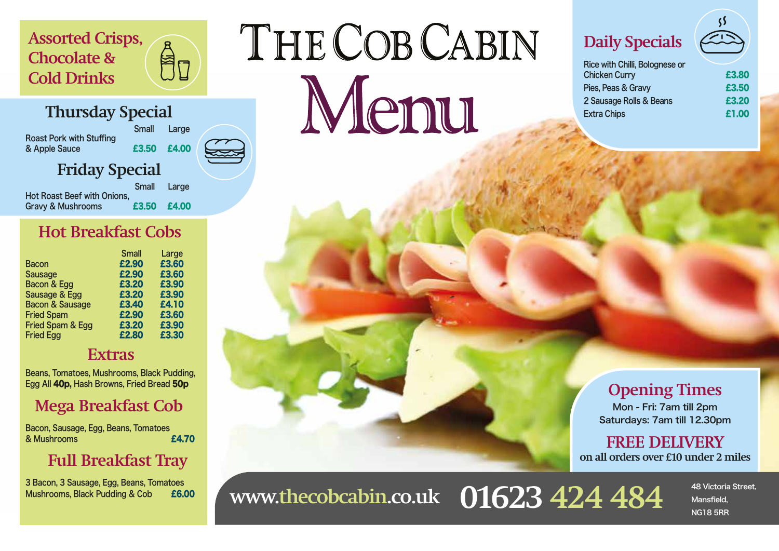#### **Assorted Crisps, Chocolate & Cold Drinks**

#### **Thursday Special**

| <b>Roast Pork with Stuffing</b><br>& Apple Sauce | Small       | Large |  |
|--------------------------------------------------|-------------|-------|--|
|                                                  | £3.50 £4.00 |       |  |
| <b>Friday Special</b>                            |             |       |  |
|                                                  | Small       | Large |  |

Hot Roast Beef with Onions, Gravy & Mushrooms **£3.50 £4.00** 

An

#### **Hot Breakfast Cobs**

|                            | <b>Small</b> | Large |
|----------------------------|--------------|-------|
| <b>Bacon</b>               | £2.90        | £3.60 |
| <b>Sausage</b>             | £2.90        | £3.60 |
| Bacon & Egg                | £3.20        | £3.90 |
| Sausage & Egg              | £3.20        | £3.90 |
| <b>Bacon &amp; Sausage</b> | £3.40        | £4.10 |
| <b>Fried Spam</b>          | £2.90        | £3.60 |
| Fried Spam & Egg           | £3.20        | £3.90 |
| <b>Fried Egg</b>           | £2.80        | £3.30 |

#### **Extras**

Beans, Tomatoes, Mushrooms, Black Pudding, Egg All 40p, Hash Browns, Fried Bread 50p

#### **Mega Breakfast Cob**

Bacon, Sausage, Egg, Beans, Tomatoes & Mushrooms £4.70

#### **Full Breakfast Tray**

3 Bacon, 3 Sausage, Egg, Beans, Tomatoes Mushrooms, Black Pudding & Cob £6.00

# THE COB CABIN Menu

## **Daily Specials**

| Rice with Chilli, Bolognese or |       |
|--------------------------------|-------|
| <b>Chicken Curry</b>           | £3.80 |
| Pies, Peas & Gravy             | £3.50 |
| 2 Sausage Rolls & Beans        | £3.20 |
| <b>Extra Chips</b>             | £1.00 |
|                                |       |

#### **Opening Times** Mon - Fri: 7am till 2pm Saturdays: 7am till 12.30pm

**FREE DELIVERY on all orders over £10 under 2 miles**

WWW.thecobcabin.co.uk 01623 424 484 Mansfield,

Mansfield, NG18 5RR